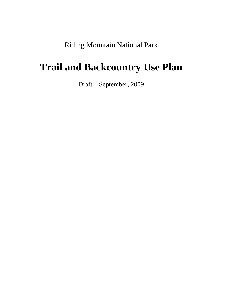Riding Mountain National Park

# **Trail and Backcountry Use Plan**

Draft – September, 2009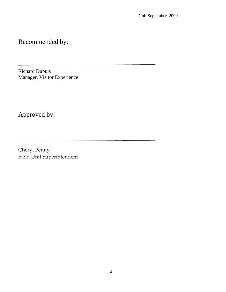Recommended by:

Richard Dupuis Manager, Visitor Experience

Approved by:

Cheryl Penny Field Unit Superintendent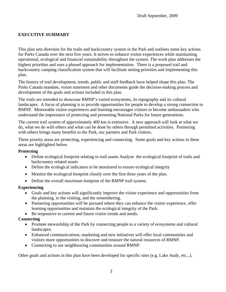#### **EXECUTIVE SUMMARY**

This plan sets direction for the trails and backcountry system in the Park and outlines some key actions for Parks Canada over the next five years. It strives to enhance visitor experiences while maintaining operational, ecological and financial sustainability throughout the system. The work plan addresses the highest priorities and uses a phased approach for implementation. There is a proposed trail and backcountry camping classification system that will facilitate setting priorities and implementing this plan.

The history of trail development, trends, public and staff feedback have helped shape this plan. The Parks Canada mandate, vision statement and other documents guide the decision-making process and development of the goals and actions included in this plan.

The trails are intended to showcase RMNP's varied ecosystems, its topography and its cultural landscapes. A focus of planning is to provide opportunities for people to develop a strong connection to RMNP. Memorable visitor experiences and learning encourages visitors to become ambassadors who understand the importance of protecting and presenting National Parks for future generations.

The current trail system of approximately 400 km is extensive. A new approach will look at what we do, what we do with others and what can be done by others through permitted activities. Partnering with others brings many benefits to the Park, our partners and Park visitors.

Three priority areas are protecting, experiencing and connecting. Some goals and key actions in these areas are highlighted below.

#### **Protecting**

- Define ecological footprint relating to trail assets Analyse the ecological footprint of trails and backcountry related assets
- Define the ecological indicators to be monitored to ensure ecological integrity
- Monitor the ecological footprint closely over the first three years of the plan.
- Define the overall maximum footprint of the RMNP trail system.

#### **Experiencing**

- Goals and key actions will significantly improve the visitor experience and opportunities from the planning, to the visiting, and the remembering.
- Partnering opportunities will be pursued where they can enhance the visitor experience, offer learning opportunities and maintain the ecological integrity of the Park.
- Be responsive to current and future visitor trends and needs.

#### **Connecting**

- Promote stewardship of the Park by connecting people to a variety of ecosystems and cultural landscapes.
- Enhanced communications, marketing and new initiatives will offer local communities and visitors more opportunities to discover and treasure the natural resources of RMNP.
- Connecting to our neighbouring communities around RMNP.

Other goals and actions in this plan have been developed for specific sites (e.g. Lake Audy, etc...).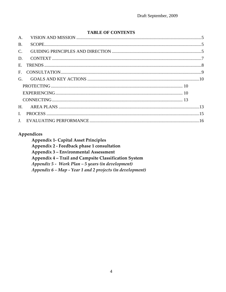#### **TABLE OF CONTENTS**

| $A_{\cdot}$  |  |
|--------------|--|
| <b>B.</b>    |  |
| $C_{\cdot}$  |  |
| D.           |  |
| $E_{\rm c}$  |  |
| $F_{\perp}$  |  |
| $G_{\cdot}$  |  |
|              |  |
|              |  |
|              |  |
| H.           |  |
| $\mathbf{I}$ |  |
|              |  |

## Appendices

**Appendix 1- Capital Asset Principles** Appendix 2 - Feedback phase 1 consultation Appendix 3 - Environmental Assessment Appendix 4 - Trail and Campsite Classification System Appendix  $5$  - Work Plan  $-5$  years (in development) Appendix 6 - Map - Year 1 and 2 projects (in development)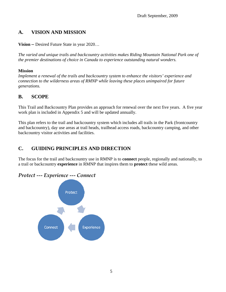# <span id="page-4-0"></span>**A. VISION AND MISSION**

**Vision –** Desired Future State in year 2020…

*The varied and unique trails and backcountry activities makes Riding Mountain National Park one of the premier destinations of choice in Canada to experience outstanding natural wonders.* 

#### **Mission**

*Implement a renewal of the trails and backcountry system to enhance the visitors' experience and connection to the wilderness areas of RMNP while leaving these places unimpaired for future generations.* 

# **B. SCOPE**

This Trail and Backcountry Plan provides an approach for renewal over the next five years. A five year work plan is included in Appendix 5 and will be updated annually.

This plan refers to the trail and backcountry system which includes all trails in the Park (frontcountry and backcountry), day use areas at trail heads, trailhead access roads, backcountry camping, and other backcountry visitor activities and facilities.

# **C. GUIDING PRINCIPLES AND DIRECTION**

The focus for the trail and backcountry use in RMNP is to **connect** people, regionally and nationally, to a trail or backcountry **experience** in RMNP that inspires them to **protect** these wild areas.

# *Protect ‐‐‐ Experience ‐‐‐ Connect*

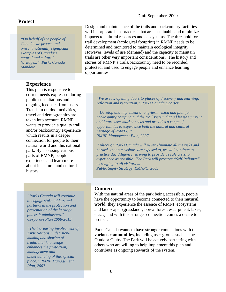#### **Protect**

*"On behalf of the people of Canada, we protect and present nationally significant examples of Canada's natural and cultural heritage..." Parks Canada Mandate* 

#### **Experience**

This plan is responsive to current needs expressed during public consultations and ongoing feedback from users. Trends in outdoor activities, travel and demographics are taken into account. RMNP wants to provide a quality trail and/or backcountry experience which results in a deeper connection for people to their natural world and this national park. By accessing various parts of RMNP, people experience and learn more about its natural and cultural history.

Design and maintenance of the trails and backcountry facilities will incorporate best practices that are sustainable and minimize impacts to cultural resources and ecosystems. The threshold for trail development (ecological footprint) in RMNP needs to be determined and monitored to maintain ecological integrity. However, levels of use (demand) and the capacity to maintain trails are other very important considerations. The history and stories of RMNP's trails/backcountry need to be recorded, protected, and used to engage people and enhance learning opportunities.

*"We are … opening doors to places of discovery and learning, reflection and recreation." Parks Canada Charter* 

 *"Develop and implement a long-term vision and plan for backcountry camping and the trail system that addresses current and future user market needs and provides a range of opportunities to experience both the natural and cultural heritage of RMNPC." RMNP Management Plan, 2007*

 *"Although Parks Canada will never eliminate all the risks and hazards that our visitors are exposed to, we will continue to practice due diligence, striving to provide as safe a visitor experience as possible...The Park will promote "Self-Reliance" messaging to all visitors ..." Public Safety Strategy, RMNPC, 2005* 

*"Parks Canada will continue to engage stakeholders and partners in the protection and presentation of the heritage places it administers." Corporate Plan 2008-2013*

*"The increasing involvement of First Nations in decisionmaking and sharing of traditional knowledge enhances the protection, management and understanding of this special place." RMNP Management Plan, 2007*

#### **Connect**

With the natural areas of the park being accessible, people have the opportunity to become connected to their **natural world**; they experience the essence of RMNP ecosystems and landscapes (grasslands, boreal forest, escarpment, lakes, etc…) and with this stronger connection comes a desire to protect.

Parks Canada wants to have stronger connections with the **various communities,** including user groups such as the Outdoor Clubs. The Park will be actively partnering with others who are willing to help implement this plan and contribute as ongoing stewards of the system.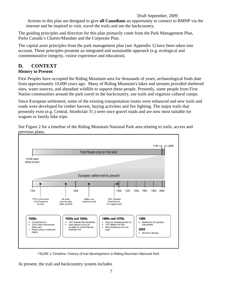<span id="page-6-0"></span>Actions in this plan are designed to give **all Canadians** an opportunity to connect to RMNP via the internet and be inspired to visit, travel the trails and see the backcountry.

The guiding principles and direction for this plan primarily come from the Park Management Plan, Parks Canada's Charter/Mandate and the Corporate Plan.

The capital asset principles from the park management plan (see Appendix 1) have been taken into account. These principles promote an integrated and sustainable approach (e.g. ecological and commemorative integrity, visitor experience and education).

# **D. CONTEXT**

#### **History to Present**

First Peoples have occupied the Riding Mountain area for thousands of years; archaeological finds date from approximately 10,000 years ago. Many of Riding Mountain's lakes and streams provided sheltered sites, water sources, and abundant wildlife to support these people. Presently, some people from First Nation communities around the park travel in the backcountry, use trails and organize cultural camps.

Since European settlement, some of the existing transportation routes were enhanced and new trails and roads were developed for timber harvest, haying activities and fire fighting. The major trails that presently exist (e.g. Central, Strathclair Tr.) were once gravel roads and are now most suitable for wagons or family bike trips.



See Figure 2 for a timeline of the Riding Mountain National Park area relating to trails, access and previous plans.

FIGURE 2: Timeline / history of trail development in Riding Mountain National Park

At present, the trail and backcountry system includes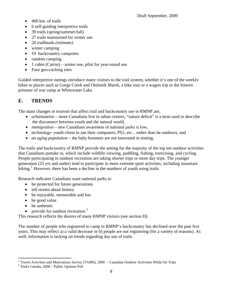- <span id="page-7-0"></span>• 400 km. of trails
- 6 self-guiding interpretive trails
- 39 trails (spring/summer/fall)
- 27 trails maintained for winter use
- *26* trailheads *(estimate)*
- winter camping
- 19 backcountry campsites
- random camping
- 1 cabin (Cairns) winter use, pilot for year-round use
- Four geo-caching sites

Guided interpretive outings introduce many visitors to the trail system, whether it's one of the weekly hikes to places such as Gorge Creek and Ominnik Marsh, a bike tour or a wagon trip to the historic prisoner of war camp at Whitewater Lake.

# **E. TRENDS**

The main changes in tourism that affect trail and backcountry use in RMNP are;

- *urbanization* more Canadians live in urban centres, "nature deficit" is a term used to describe the disconnect between youth and the natural world,
- *immigration* new Canadians awareness of national parks is low,
- *technology* youth chose to use their computers, PS2, etc... rather than be outdoors, and
- *an aging population* the baby boomers are not interested in tenting.

The trails and backcountry of RMNP provide the setting for the majority of the top ten outdoor activities that Canadians partake in, which include wildlife viewing, paddling, fishing, exercising, and cycling. People participating in outdoor recreation are taking shorter trips or more day trips. The younger generation (25 yrs and under) tend to participate in more extreme sport activities, including mountain biking.<sup>[1](#page-7-0)</sup> However, there has been a decline in the numbers of youth using trails.

Research indicates Canadians want national parks to

- be protected for future generations
- tell stories about history
- be enjoyable, memorable and fun
- be good value
- be authentic

 $\overline{a}$ 

• provide for outdoor recreation. $<sup>2</sup>$  $<sup>2</sup>$  $<sup>2</sup>$ </sup>

This research reflects the desires of many RMNP visitors (see section H).

The number of people who registered to camp in RMNP's backcountry has declined over the past five years. This may reflect a) a valid decrease or b) people are not registering (for a variety of reasons). As well, information is lacking on trends regarding day use of trails.

<sup>&</sup>lt;sup>1</sup> Travel Activities and Motivations Survey (TAMS), 2006 – Canadian Outdoor Activities While On Trips

<sup>2</sup> Parks Canada, 2006 – Public Opinion Poll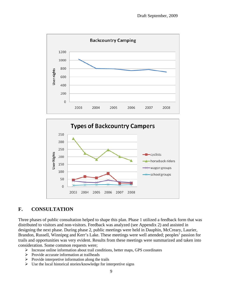<span id="page-8-0"></span>



# **F. CONSULTATION**

Three phases of public consultation helped to shape this plan. Phase 1 utilized a feedback form that was distributed to visitors and non-visitors. Feedback was analyzed (see Appendix 2) and assisted in designing the next phase. During phase 2, public meetings were held in Dauphin, McCreary, Laurier, Brandon, Russell, Winnipeg and Kerr's Lake. These meetings were well attended; peoples' passion for trails and opportunities was very evident. Results from these meetings were summarized and taken into consideration. Some common requests were;

- ¾ Increase online information about trail conditions, better maps, GPS coordinates
- $\triangleright$  Provide accurate information at trailheads
- $\triangleright$  Provide interpretive information along the trails
- $\triangleright$  Use the local historical stories/knowledge for interpretive signs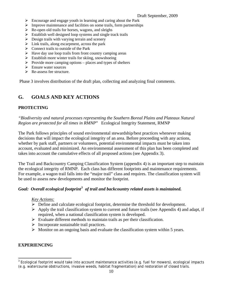- <span id="page-9-0"></span> $\triangleright$  Encourage and engage youth in learning and caring about the Park
- $\triangleright$  Improve maintenance and facilities on some trails, form partnerships
- $\triangleright$  Re-open old trails for horses, wagons, and sleighs
- $\triangleright$  Establish well designed loop systems and single track trails
- $\triangleright$  Design trails with varying terrain and scenery
- $\triangleright$  Link trails, along escarpment, across the park
- $\triangleright$  Connect trails to outside of the Park
- $\blacktriangleright$  Have day use loop trails from front country camping areas
- $\triangleright$  Establish more winter trails for skiing, snowshoeing
- $\triangleright$  Provide more camping options places and types of shelters
- $\triangleright$  Ensure water sources
- $\triangleright$  Re-assess fee structure.

Phase 3 involves distribution of the draft plan, collecting and analyzing final comments.

# **G. GOALS AND KEY ACTIONS**

#### **PROTECTING**

*"Biodiversity and natural processes representing the Southern Boreal Plains and Plateaux Natural Region are protected for all times in RMNP*" Ecological Integrity Statement, RMNP

The Park follows principles of sound environmental stewardship/best practices whenever making decisions that will impact the ecological integrity of an area. Before proceeding with any actions, whether by park staff, partners or volunteers, potential environmental impacts must be taken into account, evaluated and minimized. An environmental assessment of this plan has been completed and takes into account the cumulative effects of all proposed actions (see Appendix 3).

The Trail and Backcountry Camping Classification System (appendix 4) is an important step to maintain the ecological integrity of RMNP. Each class has different footprints and maintenance requirements. For example, a wagon trail falls into the "major trail" class and requires. The classification system will be used to assess new developments and monitor the footprint.

#### Goal: Overall ecological footprint<sup>[3](#page-9-0)</sup> of trail and backcountry related assets is maintained.

#### *Key Actions:*

- $\triangleright$  Define and calculate ecological footprint, determine the threshold for development.
- $\triangleright$  Apply the trail classification system to current and future trails (see Appendix 4) and adapt, if required, when a national classification system is developed.
- $\triangleright$  Evaluate different methods to maintain trails as per their classification.
- $\triangleright$  Incorporate sustainable trail practices.
- $\triangleright$  Monitor on an ongoing basis and evaluate the classification system within 5 years.

#### **EXPERIENCING**

 $\overline{a}$  $3$  Ecological footprint would take into account maintenance activities (e.g. fuel for mowers), ecological impacts (e.g. watercourse obstructions, invasive weeds, habitat fragmentation) and restoration of closed trails.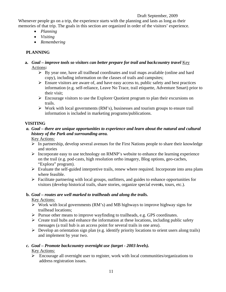Whenever people go on a trip, the experience starts with the planning and lasts as long as their memories of that trip. The goals in this section are organized in order of the visitors' experience.

- *Planning*
- *Visiting*
- *Remembering*

## **PLANNING**

- **a.** *Goal improve tools so visitors can better prepare for trail and backcountry travel Key* Actions**:** 
	- $\triangleright$  By year one, have all trailhead coordinates and trail maps available (online and hard copy), including information on the classes of trails and campsites;
	- $\triangleright$  Ensure visitors are aware of, and have easy access to, public safety and best practices information (e.g. self-reliance, Leave No Trace, trail etiquette, Adventure Smart) prior to their visit;
	- $\triangleright$  Encourage visitors to use the Explorer Quotient program to plan their excursions on trails.
	- $\triangleright$  Work with local governments (RM's), businesses and tourism groups to ensure trail information is included in marketing programs/publications.

#### **VISITING**

# *a. Goal – there are unique opportunities to experience and learn about the natural and cultural history of the Park and surrounding area.*

Key Actions:

- $\triangleright$  In partnership, develop several avenues for the First Nations people to share their knowledge and stories
- $\triangleright$  Incorporate easy to use technology on RMNP's website to enhance the learning experience on the trail (e.g. pod-casts, high resolution ortho imagery, Blog options, geo-caches, "Explora" program).
- $\triangleright$  Evaluate the self-guided interpretive trails, renew where required. Incorporate into area plans where feasible.
- $\triangleright$  Facilitate partnering with local groups, outfitters, and guides to enhance opportunities for visitors (develop historical trails, share stories, organize special even**t**s, tours, etc.).

#### **b.** *Goal – routes are well marked to trailheads and along the trails.*

## Key Actions:

- $\triangleright$  Work with local governments (RM's) and MB highways to improve highway signs for trailhead locations;
- $\triangleright$  Pursue other means to improve wayfinding to trailheads, e.g. GPS coordinates.
- $\triangleright$  Create trail hubs and enhance the information at these locations, including public safety messages (a trail hub is an access point for several trails in one area).
- $\triangleright$  Develop an orientation sign plan (e.g. identify priority locations to orient users along trails) and implement by year two.

## *c. Goal – Promote backcountry overnight use (target - 2003 levels).*

## Key Actions:

¾ Encourage all overnight user to register, work with local communities/organizations to address registration issues.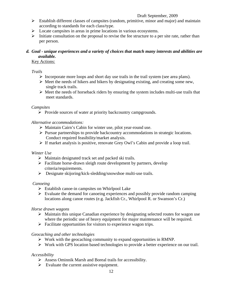- $\triangleright$  Establish different classes of campsites (random, primitive, minor and major) and maintain according to standards for each class/type.
- $\triangleright$  Locate campsites in areas in prime locations in various ecosystems.
- $\triangleright$  Initiate consultation on the proposal to revise the fee structure to a per site rate, rather than per person.

#### *d. Goal - unique experiences and a variety of choices that match many interests and abilities are available.*

#### Key Actions:

#### *Trails*

- $\triangleright$  Incorporate more loops and short day use trails in the trail system (see area plans).
- $\triangleright$  Meet the needs of hikers and bikers by designating existing, and creating some new, single track trails.
- $\triangleright$  Meet the needs of horseback riders by ensuring the system includes multi-use trails that meet standards.

#### *Campsites*

¾ Provide sources of water at priority backcountry campgrounds.

#### *Alternative accommodations:*

- ¾ Maintain Cairn's Cabin for winter use, pilot year-round use.
- ¾ Pursue partnerships to provide backcountry accommodations in strategic locations. Conduct required feasibility/market analysis.
- $\triangleright$  If market analysis is positive, renovate Grey Owl's Cabin and provide a loop trail.

#### *Winter Use*

- $\triangleright$  Maintain designated track set and packed ski trails.
- $\triangleright$  Facilitate horse-drawn sleigh route development by partners, develop criteria/requirements.
- $\triangleright$  Designate skijoring/kick-sledding/snowshoe multi-use trails.

#### *Canoeing*

- $\triangleright$  Establish canoe-in campsites on Whirlpool Lake
- $\triangleright$  Evaluate the demand for canoeing experiences and possibly provide random camping locations along canoe routes (e.g. Jackfish Cr., Whirlpool R. or Swanson's Cr.)

#### *Horse drawn wagons*

- $\triangleright$  Maintain this unique Canadian experience by designating selected routes for wagon use where the periodic use of heavy equipment for major maintenance will be required.
- $\triangleright$  Facilitate opportunities for visitors to experience wagon trips.

#### *Geocaching and other technologies*

- $\triangleright$  Work with the geocaching community to expand opportunities in RMNP.
- ¾ Work with GPS location based technologies to provide a better experience on our trail.

#### *Accessibility*

- $\triangleright$  Assess Ominnik Marsh and Boreal trails for accessibility.
- $\triangleright$  Evaluate the current assistive equipment.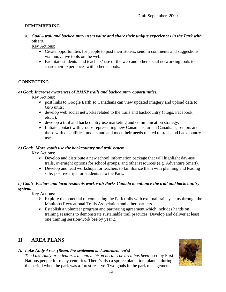#### <span id="page-12-0"></span>**REMEMBERING**

*a. Goal – trail and backcountry users value and share their unique experiences in the Park with others.* 

Key Actions:

- $\triangleright$  Create opportunities for people to post their stories, send in comments and suggestions via innovative tools on the web.
- $\triangleright$  Facilitate students' and teachers' use of the web and other social networking tools to share their experiences with other schools.

#### **CONNECTING**

#### *a) Goal: Increase awareness of RMNP trails and backcountry opportunities.*

Key Actions**:** 

- ¾ post links to Google Earth so Canadians can view updated imagery and upload data to GPS units;
- $\triangleright$  develop web social networks related to the trails and backcountry (blogs, Facebook,  $etc...$ ):
- $\triangleright$  develop a trail and backcountry use marketing and communication strategy;
- ¾ Initiate contact with groups representing new Canadians, urban Canadians, seniors and those with disabilities; understand and meet their needs related to trails and backcountry use.

#### *b) Goal: More youth use the backcountry and trail system.*

**Key Actions:** 

- $\triangleright$  Develop and distribute a new school information package that will highlight day-use trails, overnight options for school groups, and other resources (e.g. Adventure Smart).
- $\triangleright$  Develop and lead workshops for teachers to familiarize them with planning and leading safe, positive trips for students into the Park.

#### *c) Goal: Visitors and local residents work with Parks Canada to enhance the trail and backcountry system.*

Key Actions:

- $\triangleright$  Explore the potential of connecting the Park trails with external trail systems through the Manitoba Recreational Trails Association and other partners.
- $\triangleright$  Establish a volunteer program and partnering agreement which includes hands on training sessions to demonstrate sustainable trail practices. Develop and deliver at least one training session/work bee by year 2.

# **H. AREA PLANS**

#### *A. Lake Audy Area (Bison, Pre-settlement and settlement era's)*

*The Lake Audy area features a captive bison herd. The area has been* used by First Nations people for many centuries. There's also a spruce plantation, planted during the period when the park was a forest reserve. Two goals in the park management

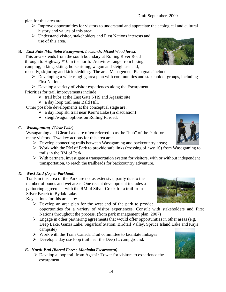plan for this area are:

- $\triangleright$  Improve opportunities for visitors to understand and appreciate the ecological and cultural history and values of this area;
- ¾ Understand visitor, stakeholders and First Nations interests and use of this area.

#### **B.** *East Side (Manitoba Escarpment, Lowlands, Mixed Wood forest)*

This area extends from the south boundary at Rolling River Road through to Highway #10 in the north. Activities range from hiking, camping, biking, skiing, horse riding, wagon and sleigh use and,

recently, skijoring and kick-sledding. The area Management Plan goals include:

- $\triangleright$  Developing a wide-ranging area plan with communities and stakeholder groups, including First Nations.
- $\triangleright$  Develop a variety of visitor experiences along the Escarpment Priorities for trail improvements include:
	- $\triangleright$  trail hubs at the East Gate NHS and Agassiz site
	- $\triangleright$  a day loop trail near Bald Hill.

Other possible developments at the conceptual stage are:

- $\triangleright$  a day loop ski trail near Kerr's Lake (in discussion)
- $\triangleright$  sleigh/wagon options on Rolling R. road.

#### **C.** *Wasagaming (Clear Lake)*

Wasagaming and Clear Lake are often referred to as the "hub" of the Park for many visitors. Two key actions for this area are:

- $\triangleright$  Develop connecting trails between Wasagaming and backcountry areas;
- $\triangleright$  Work with the RM of Park to provide safe links (crossing of hwy 10) from Wasagaming to trails in the RM of Park;
- $\triangleright$  With partners, investigate a transportation system for visitors, with or without independent transportation, to reach the trailheads for backcountry adventure.

#### *D. West End (Aspen Parkland)*

Trails in this area of the Park are not as extensive, partly due to the number of ponds and wet areas. One recent development includes a partnering agreement with the RM of Silver Creek for a trail from Silver Beach to Bydak Lake.

Key actions for this area are:

- $\triangleright$  Develop an area plan for the west end of the park to provide opportunities for a variety of visitor experiences. Consult with stakeholders and First Nations throughout the process. (from park management plan, 2007)
- $\triangleright$  Engage in other partnering agreements that would offer opportunities in other areas (e.g. Deep Lake, Ganza Lake, Sugarloaf Station, Birdtail Valley, Spruce Island Lake and Kays campsite)
- $\triangleright$  Work with the Trans Canada Trail committee to facilitate linkages
- $\triangleright$  Develop a day use loop trail near the Deep L. campground.

#### *E. North End (Boreal Forest, Manitoba Escarpment)*

 $\triangleright$  Develop a loop trail from Agassiz Tower for visitors to experience the escarpment.





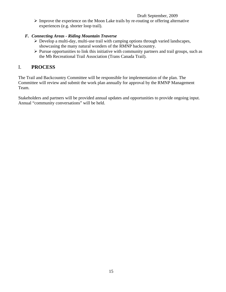<span id="page-14-0"></span> $\triangleright$  Improve the experience on the Moon Lake trails by re-routing or offering alternative experiences (e.g. shorter loop trail).

#### *F. Connecting Areas - Riding Mountain Traverse*

- $\triangleright$  Develop a multi-day, multi-use trail with camping options through varied landscapes, showcasing the many natural wonders of the RMNP backcountry.
- $\triangleright$  Pursue opportunities to link this initiative with community partners and trail groups, such as the Mb Recreational Trail Association (Trans Canada Trail).

# I. **PROCESS**

The Trail and Backcountry Committee will be responsible for implementation of the plan. The Committee will review and submit the work plan annually for approval by the RMNP Management Team.

Stakeholders and partners will be provided annual updates and opportunities to provide ongoing input. Annual "community conversations" will be held.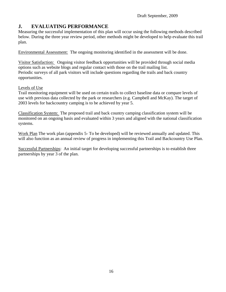# <span id="page-15-0"></span>**J. EVALUATING PERFORMANCE**

Measuring the successful implementation of this plan will occur using the following methods described below. During the three year review period, other methods might be developed to help evaluate this trail plan.

Environmental Assessment: The ongoing monitoring identified in the assessment will be done.

Visitor Satisfaction: Ongoing visitor feedback opportunities will be provided through social media options such as website blogs and regular contact with those on the trail mailing list. Periodic surveys of all park visitors will include questions regarding the trails and back country opportunities.

#### Levels of Use

Trail monitoring equipment will be used on certain trails to collect baseline data or compare levels of use with previous data collected by the park or researchers (e.g. Campbell and McKay). The target of 2003 levels for backcountry camping is to be achieved by year 5.

Classification System: The proposed trail and back country camping classification system will be monitored on an ongoing basis and evaluated within 3 years and aligned with the national classification systems.

Work Plan The work plan (appendix 5- To be developed) will be reviewed annually and updated. This will also function as an annual review of progress in implementing this Trail and Backcountry Use Plan.

Successful Partnerships: An initial target for developing successful partnerships is to establish three partnerships by year 3 of the plan.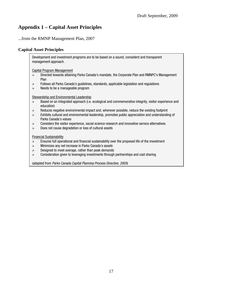# **Appendix 1 – Capital Asset Principles**

...from the RMNP Management Plan, 2007

#### **Capital Asset Principles**

Development and investment programs are to be based on a sound, consistent and transparent management approach.

Capital Program Management

- ¾ Directed towards attaining Parks Canada's mandate, the Corporate Plan and RMNPC's Management Plan
- ¾ Follows all Parks Canada's guidelines, standards, applicable legislation and regulations
- $\triangleright$  Needs to be a manageable program

Stewardship and Environmental Leadership

- ¾ Based on an integrated approach (i.e. ecological and commemorative integrity, visitor experience and education)
- ¾ Reduces negative environmental impact and, wherever possible, reduce the existing footprint
- $\triangleright$  Exhibits cultural and environmental leadership, promotes public appreciation and understanding of Parks Canada's values
- $\triangleright$  Considers the visitor experience, social science research and innovative service alternatives
- $\triangleright$  Does not cause degradation or loss of cultural assets

Financial Sustainability

- $\triangleright$  Ensures full operational and financial sustainability over the proposed life of the investment
- $\triangleright$  Minimizes any net increase in Parks Canada's assets
- $\triangleright$  Designed to meet average, rather than peak demands
- $\triangleright$  Consideration given to leveraging investments through partnerships and cost sharing

(adapted from *Parks Canada Capital Planning Process Directive, 2005*)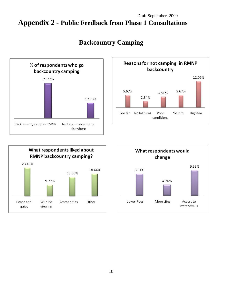# Draft September, 2009 **Appendix 2 - Public Feedback from Phase 1 Consultations**



# **Backcountry Camping**





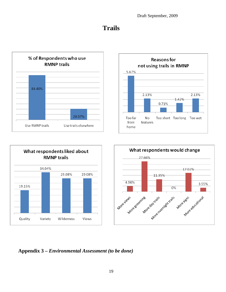# **Trails**









**Appendix 3 –** *Environmental Assessment (to be done)*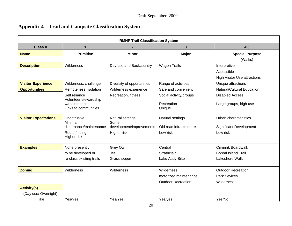# **Appendix 4 – Trail and Campsite Classification System**

| <b>RMNP Trail Classification System</b>            |                                                                                          |                                                                            |                                                                         |                                                                            |  |  |  |
|----------------------------------------------------|------------------------------------------------------------------------------------------|----------------------------------------------------------------------------|-------------------------------------------------------------------------|----------------------------------------------------------------------------|--|--|--|
| $4\sqrt{5}$<br>Class #<br>$\overline{2}$<br>3<br>1 |                                                                                          |                                                                            |                                                                         |                                                                            |  |  |  |
| <b>Name</b>                                        | <b>Primitive</b>                                                                         | <b>Minor</b>                                                               | <b>Major</b>                                                            | <b>Special Purpose</b><br>(Walks)                                          |  |  |  |
| <b>Description</b>                                 | Wilderness                                                                               | Day use and Backcountry                                                    | <b>Wagon Trails</b>                                                     | Interpretive<br>Accessible<br><b>High Visitor Use attractions</b>          |  |  |  |
| <b>Visitor Experience</b><br><b>Opportunities</b>  | Wilderness, challenge<br>Remoteness, isolation<br>Self reliance<br>Volunteer stewardship | Diversity of opportunities<br>Wilderness experience<br>Recreation, fitness | Range of activities<br>Safe and convenient<br>Social activity/groups    | Unique attractions<br>Natural/Cultural Education<br><b>Disabled Access</b> |  |  |  |
|                                                    | w/maintenance<br>Links to communities                                                    |                                                                            | Recreation<br>Unique                                                    | Large groups, high use                                                     |  |  |  |
| <b>Visitor Expectations</b>                        | Unobtrusive<br>Minimal<br>disturbance/maintenance<br>Route finding<br>Higher risk        | Natural settings<br>Some<br>development/improvements<br>Higher risk        | Natural settings<br>Old road infrastructure<br>Low risk                 | Urban characteristics<br>Significant Development<br>Low risk               |  |  |  |
| <b>Examples</b>                                    | None presently<br>to be developed or<br>re-class existing trails                         | Grey Owl<br><b>Jet</b><br>Grasshopper                                      | Central<br>Strathclair<br>Lake Audy Bike                                | <b>Ominnik Boardwalk</b><br><b>Boreal Island Trail</b><br>Lakeshore Walk   |  |  |  |
| <b>Zoning</b>                                      | Wilderness                                                                               | Wilderness                                                                 | <b>Wilderness</b><br>motorized maintenance<br><b>Outdoor Recreation</b> | <b>Outdoor Recreation</b><br><b>Park Sevices</b><br>Wilderness             |  |  |  |
| <b>Activity(s)</b><br>(Day use/Overnight)<br>Hike  | Yes/Yes                                                                                  | Yes/Yes                                                                    | Yes/yes                                                                 | Yes/No                                                                     |  |  |  |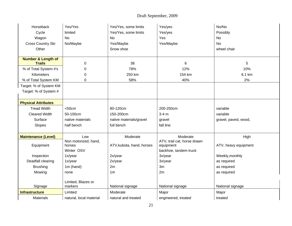| Horseback                       | Yes/Yes                 | Yes/Yes, some limits      | Yes/yes                     | No/No                          |  |
|---------------------------------|-------------------------|---------------------------|-----------------------------|--------------------------------|--|
| Cycle                           | limited                 | Yes/Yes, some limits      | Yes/yes                     | Possibly                       |  |
| Wagon                           | <b>No</b>               | No                        | Yes                         | <b>No</b>                      |  |
| Cross Country Ski               | No/Maybe                | Yes/Maybe                 | Yes/Maybe                   | No                             |  |
| Other                           |                         | Snow shoe                 |                             | wheel chair                    |  |
|                                 |                         |                           |                             |                                |  |
| <b>Number &amp; Length of</b>   |                         |                           |                             |                                |  |
| <b>Trails</b>                   | $\mathbf 0$             | 38                        | 6                           | 5                              |  |
| % of Total System #'s           | 0                       | 78%                       | 12%                         | 10%                            |  |
| <b>Kilometers</b>               | 0                       | 250 km                    | 154 km                      | 6.1 km                         |  |
| % of Total System KM            | $\mathbf 0$             | 58%                       | 40%                         | 2%                             |  |
| Target: % of System KM          |                         |                           |                             |                                |  |
| Target: % of System #           |                         |                           |                             |                                |  |
|                                 |                         |                           |                             |                                |  |
| <b>Physical Attributes</b>      |                         |                           |                             |                                |  |
| <b>Tread Width</b>              | < 50cm                  | 80-120cm                  | 200-250cm                   | variable                       |  |
| <b>Cleared Width</b>            | 50-100cm                | 150-200cm                 | $3-4$ m                     | variable                       |  |
| Surface                         | native materials        | native materials/gravel   | gravel                      | gravel, paved, wood,           |  |
| Slopes                          | half bench              | full bench                | fall line                   |                                |  |
|                                 |                         |                           |                             |                                |  |
| <b>Maintenance (Level)</b>      | Low                     | Moderate                  | Moderate                    | High                           |  |
|                                 | Non motorized, hand,    |                           | ATV, trail cat, horse drawn |                                |  |
| Equipment                       | horses<br>Winter OSV    | ATV, kubota, hand, horses | equipment                   | ATV, heavy equipment           |  |
|                                 |                         |                           | backhoe, tandem truck       |                                |  |
| Inspection<br>Deadfall clearing | 1x/year<br>1x/year      | 2x/year<br>2x/year        | 3x/year<br>3x/year          | Weekly, monthly<br>as required |  |
| <b>Brushing</b>                 | 1m (hand)               | 2m                        | 3m                          |                                |  |
|                                 |                         | 1 <sub>m</sub>            | 2m                          | as required                    |  |
| Mowing                          | none                    |                           |                             | as required                    |  |
|                                 | Limited, Blazes or      |                           |                             |                                |  |
| Signage                         | markers                 | National signage          | National signage            | National signage               |  |
| <b>Infrastructure</b>           | Limited                 | Moderate                  | Major                       | Major                          |  |
| <b>Materials</b>                | natural, local material | natural and treated       | engineered, treated         | treated                        |  |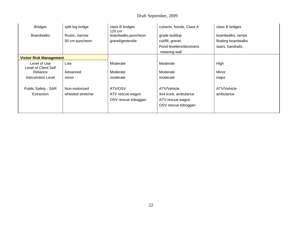| <b>Bridges</b>                       | split log bridge                   | class B bridges<br>$120 \text{ cm}$                | culverts, foords, Class A                                                      | class B bridges          |
|--------------------------------------|------------------------------------|----------------------------------------------------|--------------------------------------------------------------------------------|--------------------------|
| <b>Boardwalks</b>                    | Rustic, narrow                     | boardwalks, puncheon                               | grade buildup                                                                  | boardwalks, ramps        |
|                                      | 50 cm puncheon                     | gravel/geotextile                                  | cut/fill, gravel,                                                              | floating boardwalks      |
|                                      |                                    |                                                    | Pond levellers/deceivers                                                       | stairs, handrails,       |
|                                      |                                    |                                                    | retaining wall                                                                 |                          |
| <b>Visitor Risk Management</b>       |                                    |                                                    |                                                                                |                          |
| Level of Use<br>Level of Client Self | Low                                | Moderate                                           | Moderate                                                                       | High                     |
| Reliance                             | Advanced                           | Moderate                                           | Moderate                                                                       | Minor                    |
| <b>Intervention Level</b>            | minor                              | moderate                                           | moderate                                                                       | major                    |
| Public Safety - SAR<br>Extraction    | Non-motorized<br>wheeled stretcher | ATV/OSV<br>ATV rescue wagon<br>OSV rescue toboggan | ATV/Vehicle<br>4x4 truck, ambulance<br>ATV rescue wagon<br>OSV rescue toboggan | ATV/Vehicle<br>ambulance |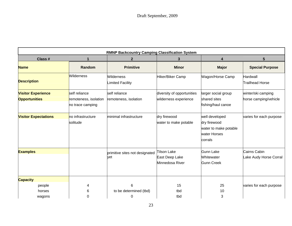| <b>RMNP Backcountry Camping Classification System</b> |                                           |                                       |                                                         |                                                                                    |                                        |  |  |
|-------------------------------------------------------|-------------------------------------------|---------------------------------------|---------------------------------------------------------|------------------------------------------------------------------------------------|----------------------------------------|--|--|
| Class #                                               |                                           | $\mathbf{2}$                          | 3                                                       | 4                                                                                  | 5                                      |  |  |
| <b>Name</b>                                           | Random                                    | <b>Primitive</b>                      | <b>Minor</b>                                            | <b>Major</b>                                                                       | <b>Special Purpose</b>                 |  |  |
| <b>Description</b>                                    | <b>Wilderness</b>                         | Wilderness<br>Limited Facility        | Hiker/Biker Camp                                        | Wagon/Horse Camp                                                                   | Hardwall<br>Trailhead Horse            |  |  |
| <b>Visitor Experience</b>                             | self reliance                             | self reliance                         | diversity of opportunities                              | larger social group                                                                | winter/ski camping                     |  |  |
| <b>Opportunities</b>                                  | remoteness, isolation<br>no trace camping | remoteness, isolation                 | wilderness experience                                   | shared sites<br>fishing/haul canoe                                                 | horse camping/vehicle                  |  |  |
| <b>Visitor Expectations</b>                           | no infrastructure<br>solitude             | minimal infrastructure                | dry firewood<br>water to make potable                   | well developed<br>dry firewood<br>water to make potable<br>water Horses<br>corrals | varies for each purpose                |  |  |
| <b>Examples</b>                                       |                                           | primitive sites not designated<br>yet | <b>Tilson Lake</b><br>East Deep Lake<br>Minnedosa River | <b>Gunn Lake</b><br>Whitewater<br><b>Gunn Creek</b>                                | Cairns Cabin<br>Lake Audy Horse Corral |  |  |
| <b>Capacity</b>                                       |                                           |                                       |                                                         |                                                                                    |                                        |  |  |
| people                                                | 4                                         | 6                                     | 15                                                      | 25                                                                                 | varies for each purpose                |  |  |
| horses                                                | 6                                         | to be determined (tbd)                | tbd                                                     | 10                                                                                 |                                        |  |  |
| wagons                                                | 0                                         | 0                                     | tbd                                                     | 3                                                                                  |                                        |  |  |